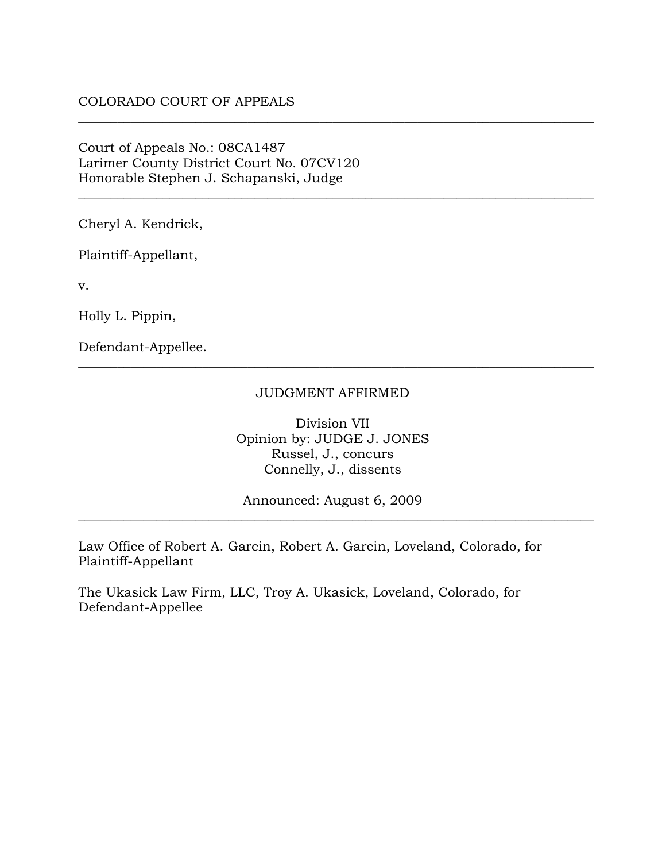## COLORADO COURT OF APPEALS

## Court of Appeals No.: 08CA1487 Larimer County District Court No. 07CV120 Honorable Stephen J. Schapanski, Judge

Cheryl A. Kendrick,

Plaintiff-Appellant,

v.

Holly L. Pippin,

Defendant-Appellee.

#### JUDGMENT AFFIRMED

\_\_\_\_\_\_\_\_\_\_\_\_\_\_\_\_\_\_\_\_\_\_\_\_\_\_\_\_\_\_\_\_\_\_\_\_\_\_\_\_\_\_\_\_\_\_\_\_\_\_\_\_\_\_\_\_\_\_\_\_\_\_\_\_\_\_\_\_\_\_\_\_\_\_\_\_\_\_\_

\_\_\_\_\_\_\_\_\_\_\_\_\_\_\_\_\_\_\_\_\_\_\_\_\_\_\_\_\_\_\_\_\_\_\_\_\_\_\_\_\_\_\_\_\_\_\_\_\_\_\_\_\_\_\_\_\_\_\_\_\_\_\_\_\_\_\_\_\_\_\_\_\_\_\_\_\_\_\_

\_\_\_\_\_\_\_\_\_\_\_\_\_\_\_\_\_\_\_\_\_\_\_\_\_\_\_\_\_\_\_\_\_\_\_\_\_\_\_\_\_\_\_\_\_\_\_\_\_\_\_\_\_\_\_\_\_\_\_\_\_\_\_\_\_\_\_\_\_\_\_\_\_\_\_\_\_\_\_

Division VII Opinion by: JUDGE J. JONES Russel, J., concurs Connelly, J., dissents

Announced: August 6, 2009 \_\_\_\_\_\_\_\_\_\_\_\_\_\_\_\_\_\_\_\_\_\_\_\_\_\_\_\_\_\_\_\_\_\_\_\_\_\_\_\_\_\_\_\_\_\_\_\_\_\_\_\_\_\_\_\_\_\_\_\_\_\_\_\_\_\_\_\_\_\_\_\_\_\_\_\_\_\_\_

Law Office of Robert A. Garcin, Robert A. Garcin, Loveland, Colorado, for Plaintiff-Appellant

The Ukasick Law Firm, LLC, Troy A. Ukasick, Loveland, Colorado, for Defendant-Appellee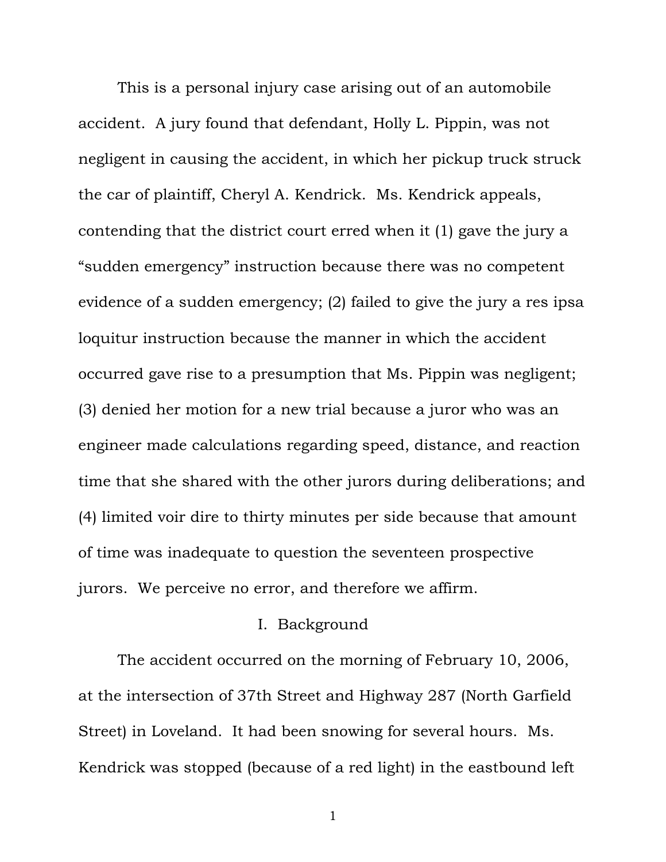This is a personal injury case arising out of an automobile accident. A jury found that defendant, Holly L. Pippin, was not negligent in causing the accident, in which her pickup truck struck the car of plaintiff, Cheryl A. Kendrick. Ms. Kendrick appeals, contending that the district court erred when it (1) gave the jury a "sudden emergency" instruction because there was no competent evidence of a sudden emergency; (2) failed to give the jury a res ipsa loquitur instruction because the manner in which the accident occurred gave rise to a presumption that Ms. Pippin was negligent; (3) denied her motion for a new trial because a juror who was an engineer made calculations regarding speed, distance, and reaction time that she shared with the other jurors during deliberations; and (4) limited voir dire to thirty minutes per side because that amount of time was inadequate to question the seventeen prospective jurors. We perceive no error, and therefore we affirm.

# I. Background

The accident occurred on the morning of February 10, 2006, at the intersection of 37th Street and Highway 287 (North Garfield Street) in Loveland. It had been snowing for several hours. Ms. Kendrick was stopped (because of a red light) in the eastbound left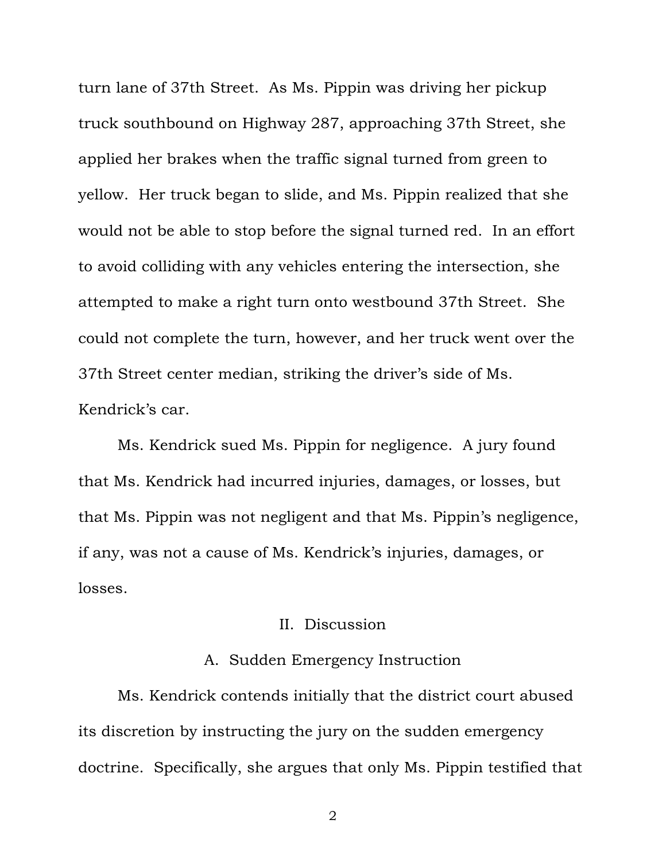turn lane of 37th Street. As Ms. Pippin was driving her pickup truck southbound on Highway 287, approaching 37th Street, she applied her brakes when the traffic signal turned from green to yellow. Her truck began to slide, and Ms. Pippin realized that she would not be able to stop before the signal turned red. In an effort to avoid colliding with any vehicles entering the intersection, she attempted to make a right turn onto westbound 37th Street. She could not complete the turn, however, and her truck went over the 37th Street center median, striking the driver's side of Ms. Kendrick's car.

Ms. Kendrick sued Ms. Pippin for negligence. A jury found that Ms. Kendrick had incurred injuries, damages, or losses, but that Ms. Pippin was not negligent and that Ms. Pippin's negligence, if any, was not a cause of Ms. Kendrick's injuries, damages, or losses.

# II. Discussion

### A. Sudden Emergency Instruction

Ms. Kendrick contends initially that the district court abused its discretion by instructing the jury on the sudden emergency doctrine. Specifically, she argues that only Ms. Pippin testified that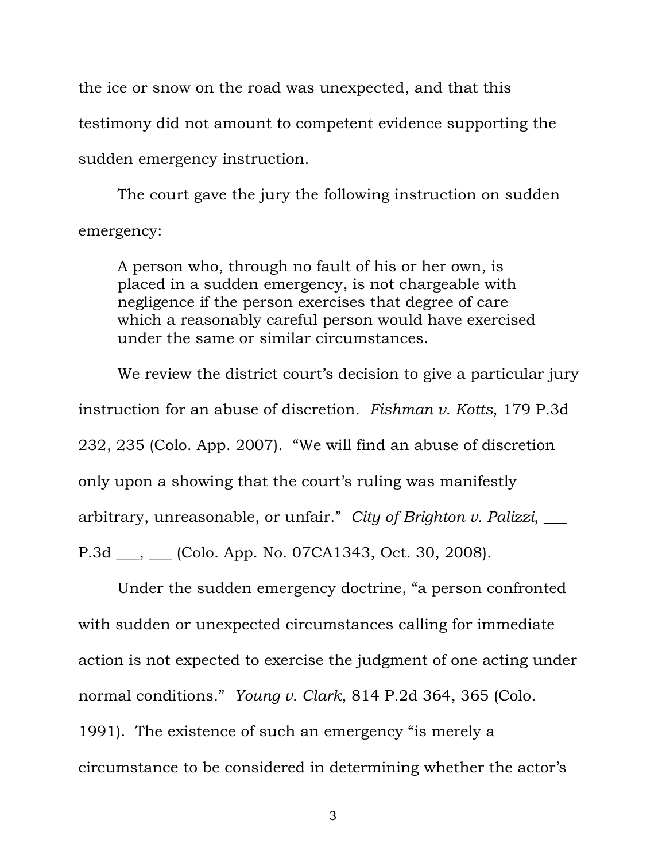the ice or snow on the road was unexpected, and that this testimony did not amount to competent evidence supporting the sudden emergency instruction.

The court gave the jury the following instruction on sudden emergency:

A person who, through no fault of his or her own, is placed in a sudden emergency, is not chargeable with negligence if the person exercises that degree of care which a reasonably careful person would have exercised under the same or similar circumstances.

We review the district court's decision to give a particular jury instruction for an abuse of discretion. *Fishman v. Kotts*, 179 P.3d 232, 235 (Colo. App. 2007). "We will find an abuse of discretion only upon a showing that the court's ruling was manifestly arbitrary, unreasonable, or unfair." *City of Brighton v. Palizzi*, \_\_\_ P.3d \_\_\_, \_\_\_ (Colo. App. No. 07CA1343, Oct. 30, 2008).

Under the sudden emergency doctrine, "a person confronted with sudden or unexpected circumstances calling for immediate action is not expected to exercise the judgment of one acting under normal conditions." *Young v. Clark*, 814 P.2d 364, 365 (Colo. 1991). The existence of such an emergency "is merely a circumstance to be considered in determining whether the actor's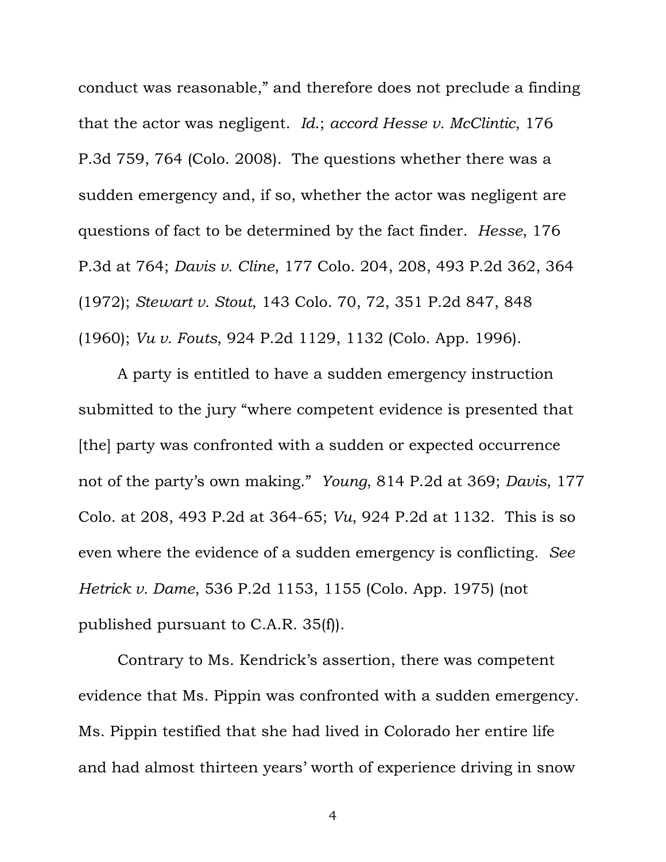conduct was reasonable," and therefore does not preclude a finding that the actor was negligent. *Id*.; *accord Hesse v. McClintic*, 176 P.3d 759, 764 (Colo. 2008). The questions whether there was a sudden emergency and, if so, whether the actor was negligent are questions of fact to be determined by the fact finder. *Hesse*, 176 P.3d at 764; *Davis v. Cline*, 177 Colo. 204, 208, 493 P.2d 362, 364 (1972); *Stewart v. Stout*, 143 Colo. 70, 72, 351 P.2d 847, 848 (1960); *Vu v. Fouts*, 924 P.2d 1129, 1132 (Colo. App. 1996).

A party is entitled to have a sudden emergency instruction submitted to the jury "where competent evidence is presented that [the] party was confronted with a sudden or expected occurrence not of the party's own making." *Young*, 814 P.2d at 369; *Davis*, 177 Colo. at 208, 493 P.2d at 364-65; *Vu*, 924 P.2d at 1132. This is so even where the evidence of a sudden emergency is conflicting. *See Hetrick v. Dame*, 536 P.2d 1153, 1155 (Colo. App. 1975) (not published pursuant to C.A.R. 35(f)).

Contrary to Ms. Kendrick's assertion, there was competent evidence that Ms. Pippin was confronted with a sudden emergency. Ms. Pippin testified that she had lived in Colorado her entire life and had almost thirteen years' worth of experience driving in snow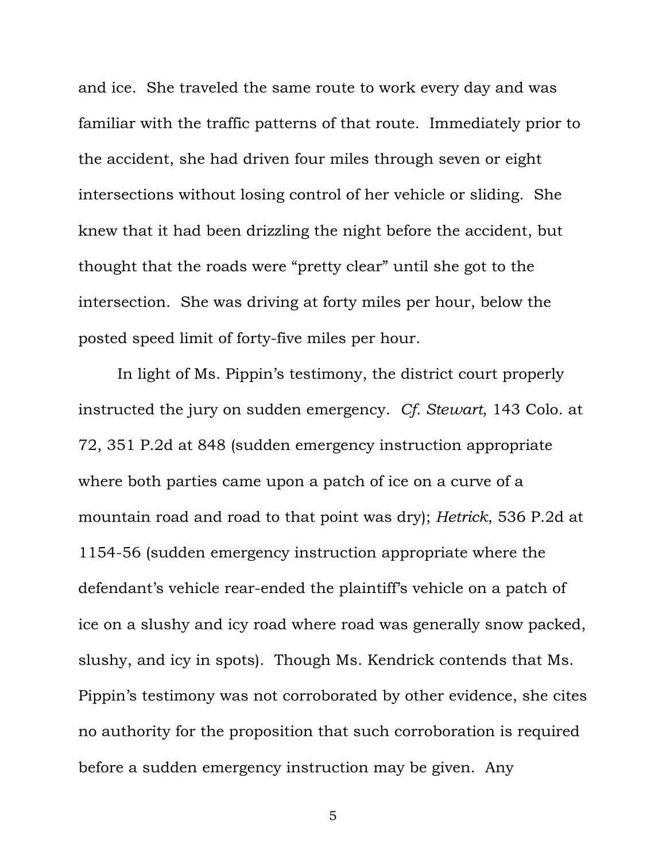and ice. She traveled the same route to work every day and was familiar with the traffic patterns of that route. Immediately prior to the accident, she had driven four miles through seven or eight intersections without losing control of her vehicle or sliding. She knew that it had been drizzling the night before the accident, but thought that the roads were "pretty clear" until she got to the intersection. She was driving at forty miles per hour, below the posted speed limit of forty-five miles per hour.

In light of Ms. Pippin's testimony, the district court properly instructed the jury on sudden emergency. *Cf. Stewart*, 143 Colo. at 72, 351 P.2d at 848 (sudden emergency instruction appropriate where both parties came upon a patch of ice on a curve of a mountain road and road to that point was dry); *Hetrick*, 536 P.2d at 1154-56 (sudden emergency instruction appropriate where the defendant's vehicle rear-ended the plaintiff's vehicle on a patch of ice on a slushy and icy road where road was generally snow packed, slushy, and icy in spots). Though Ms. Kendrick contends that Ms. Pippin's testimony was not corroborated by other evidence, she cites no authority for the proposition that such corroboration is required before a sudden emergency instruction may be given. Any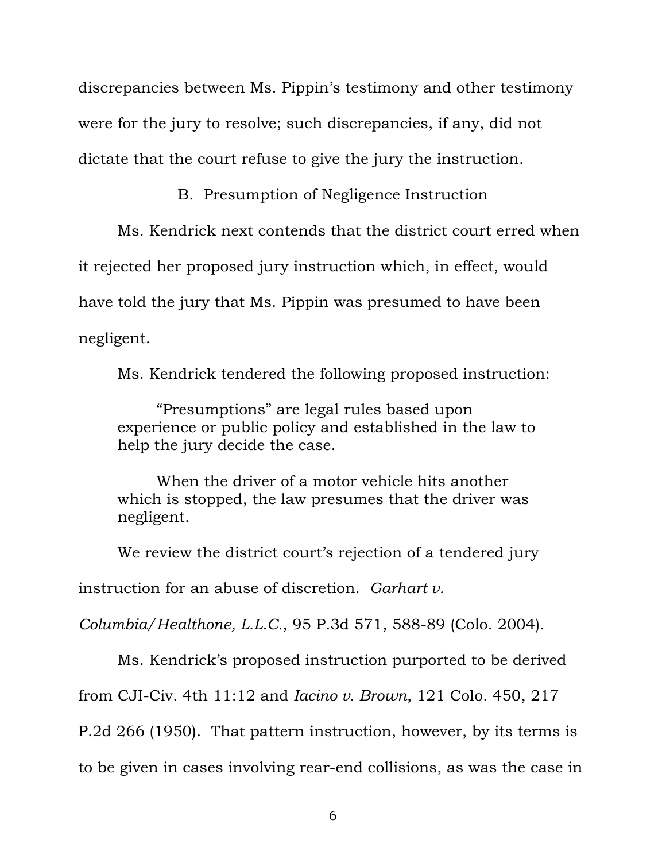discrepancies between Ms. Pippin's testimony and other testimony were for the jury to resolve; such discrepancies, if any, did not dictate that the court refuse to give the jury the instruction.

B. Presumption of Negligence Instruction

Ms. Kendrick next contends that the district court erred when it rejected her proposed jury instruction which, in effect, would have told the jury that Ms. Pippin was presumed to have been negligent.

Ms. Kendrick tendered the following proposed instruction:

"Presumptions" are legal rules based upon experience or public policy and established in the law to help the jury decide the case.

When the driver of a motor vehicle hits another which is stopped, the law presumes that the driver was negligent.

We review the district court's rejection of a tendered jury

instruction for an abuse of discretion. *Garhart v.* 

*Columbia/Healthone, L.L.C.*, 95 P.3d 571, 588-89 (Colo. 2004).

Ms. Kendrick's proposed instruction purported to be derived

from CJI-Civ. 4th 11:12 and *Iacino v. Brown*, 121 Colo. 450, 217

P.2d 266 (1950). That pattern instruction, however, by its terms is

to be given in cases involving rear-end collisions, as was the case in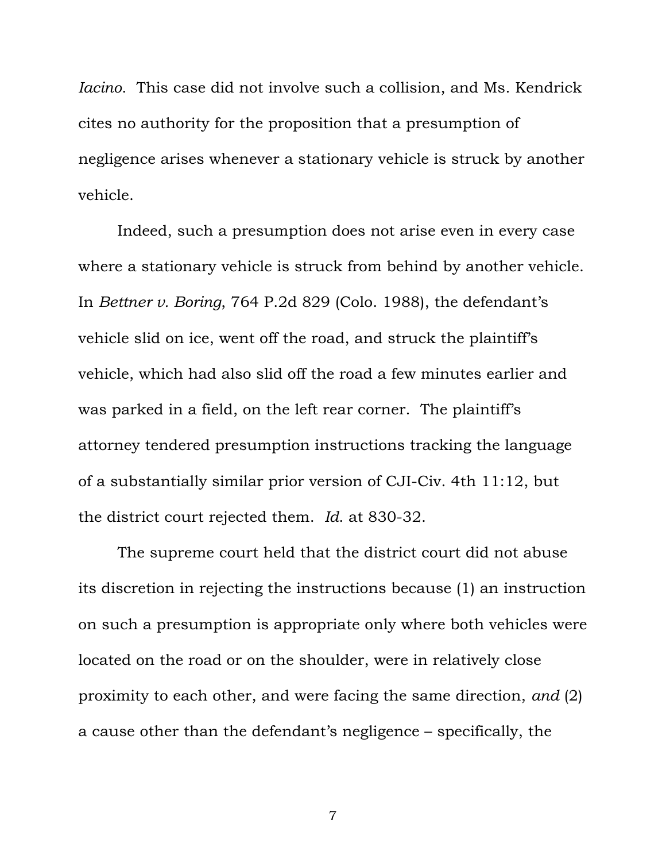*Iacino*. This case did not involve such a collision, and Ms. Kendrick cites no authority for the proposition that a presumption of negligence arises whenever a stationary vehicle is struck by another vehicle.

Indeed, such a presumption does not arise even in every case where a stationary vehicle is struck from behind by another vehicle. In *Bettner v. Boring*, 764 P.2d 829 (Colo. 1988), the defendant's vehicle slid on ice, went off the road, and struck the plaintiff's vehicle, which had also slid off the road a few minutes earlier and was parked in a field, on the left rear corner. The plaintiff's attorney tendered presumption instructions tracking the language of a substantially similar prior version of CJI-Civ. 4th 11:12, but the district court rejected them. *Id*. at 830-32.

The supreme court held that the district court did not abuse its discretion in rejecting the instructions because (1) an instruction on such a presumption is appropriate only where both vehicles were located on the road or on the shoulder, were in relatively close proximity to each other, and were facing the same direction, *and* (2) a cause other than the defendant's negligence – specifically, the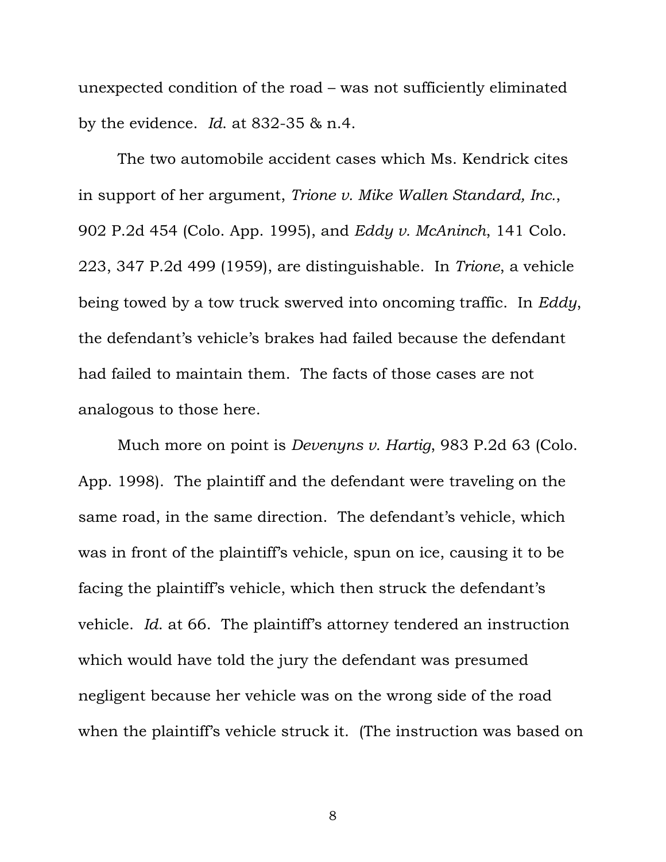unexpected condition of the road – was not sufficiently eliminated by the evidence. *Id*. at 832-35 & n.4.

The two automobile accident cases which Ms. Kendrick cites in support of her argument, *Trione v. Mike Wallen Standard, Inc.*, 902 P.2d 454 (Colo. App. 1995), and *Eddy v. McAninch*, 141 Colo. 223, 347 P.2d 499 (1959), are distinguishable. In *Trione*, a vehicle being towed by a tow truck swerved into oncoming traffic. In *Eddy*, the defendant's vehicle's brakes had failed because the defendant had failed to maintain them. The facts of those cases are not analogous to those here.

Much more on point is *Devenyns v. Hartig*, 983 P.2d 63 (Colo. App. 1998). The plaintiff and the defendant were traveling on the same road, in the same direction. The defendant's vehicle, which was in front of the plaintiff's vehicle, spun on ice, causing it to be facing the plaintiff's vehicle, which then struck the defendant's vehicle. *Id*. at 66. The plaintiff's attorney tendered an instruction which would have told the jury the defendant was presumed negligent because her vehicle was on the wrong side of the road when the plaintiff's vehicle struck it. (The instruction was based on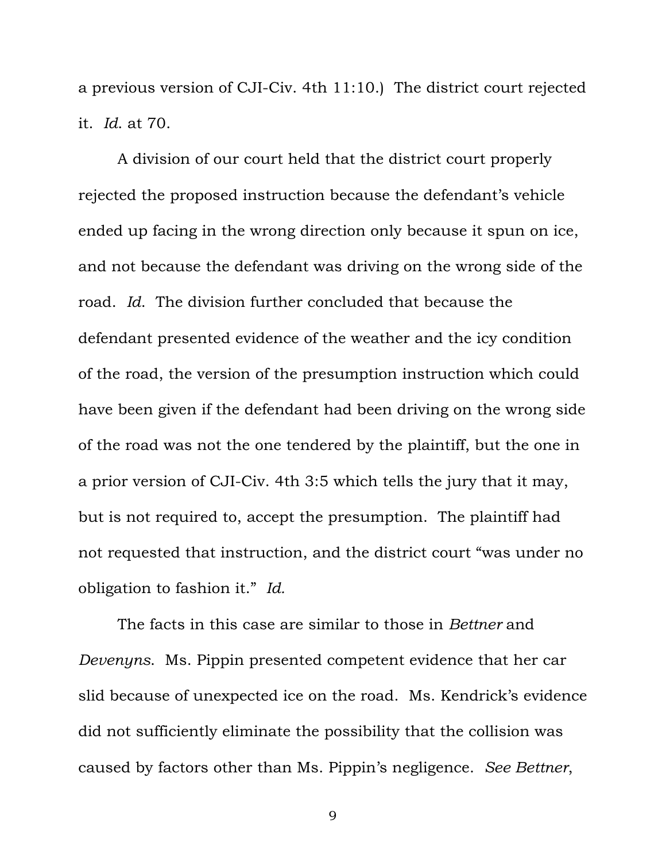a previous version of CJI-Civ. 4th 11:10.) The district court rejected it. *Id*. at 70.

 A division of our court held that the district court properly rejected the proposed instruction because the defendant's vehicle ended up facing in the wrong direction only because it spun on ice, and not because the defendant was driving on the wrong side of the road. *Id*. The division further concluded that because the defendant presented evidence of the weather and the icy condition of the road, the version of the presumption instruction which could have been given if the defendant had been driving on the wrong side of the road was not the one tendered by the plaintiff, but the one in a prior version of CJI-Civ. 4th 3:5 which tells the jury that it may, but is not required to, accept the presumption. The plaintiff had not requested that instruction, and the district court "was under no obligation to fashion it." *Id.*

 The facts in this case are similar to those in *Bettner* and *Devenyns*. Ms. Pippin presented competent evidence that her car slid because of unexpected ice on the road. Ms. Kendrick's evidence did not sufficiently eliminate the possibility that the collision was caused by factors other than Ms. Pippin's negligence. *See Bettner*,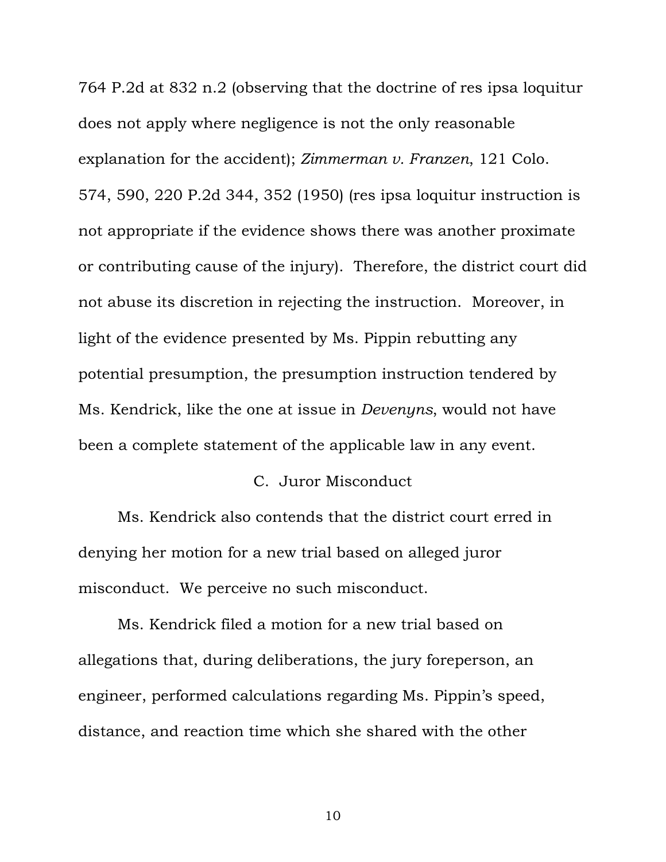764 P.2d at 832 n.2 (observing that the doctrine of res ipsa loquitur does not apply where negligence is not the only reasonable explanation for the accident); *Zimmerman v. Franzen*, 121 Colo. 574, 590, 220 P.2d 344, 352 (1950) (res ipsa loquitur instruction is not appropriate if the evidence shows there was another proximate or contributing cause of the injury). Therefore, the district court did not abuse its discretion in rejecting the instruction. Moreover, in light of the evidence presented by Ms. Pippin rebutting any potential presumption, the presumption instruction tendered by Ms. Kendrick, like the one at issue in *Devenyns*, would not have been a complete statement of the applicable law in any event.

### C. Juror Misconduct

 Ms. Kendrick also contends that the district court erred in denying her motion for a new trial based on alleged juror misconduct. We perceive no such misconduct.

Ms. Kendrick filed a motion for a new trial based on allegations that, during deliberations, the jury foreperson, an engineer, performed calculations regarding Ms. Pippin's speed, distance, and reaction time which she shared with the other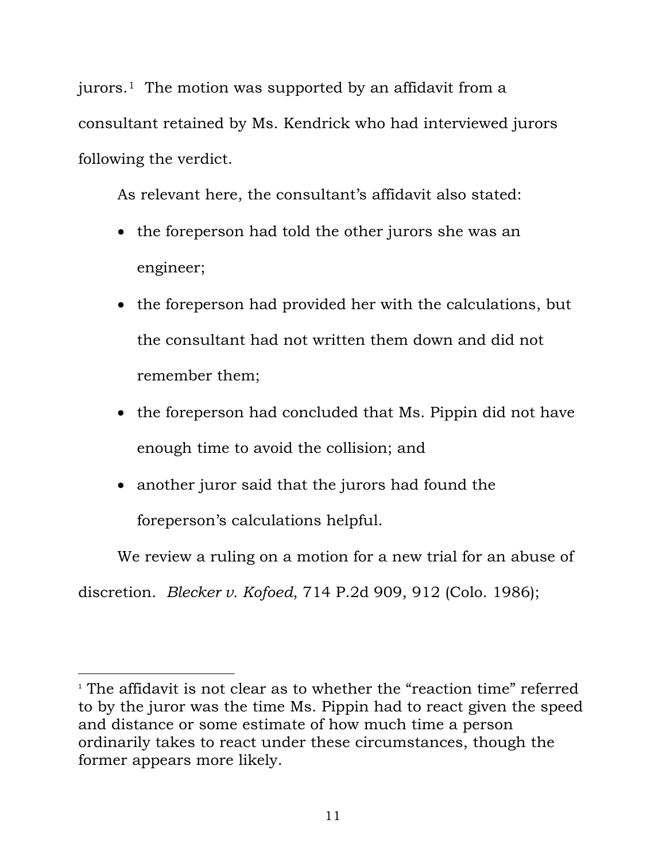jurors.[1](#page-11-0) The motion was supported by an affidavit from a consultant retained by Ms. Kendrick who had interviewed jurors following the verdict.

As relevant here, the consultant's affidavit also stated:

- the foreperson had told the other jurors she was an engineer;
- the foreperson had provided her with the calculations, but the consultant had not written them down and did not remember them;
- the foreperson had concluded that Ms. Pippin did not have enough time to avoid the collision; and
- another juror said that the jurors had found the foreperson's calculations helpful.

We review a ruling on a motion for a new trial for an abuse of discretion. *Blecker v. Kofoed*, 714 P.2d 909, 912 (Colo. 1986);

<span id="page-11-0"></span><sup>&</sup>lt;sup>1</sup> The affidavit is not clear as to whether the "reaction time" referred to by the juror was the time Ms. Pippin had to react given the speed and distance or some estimate of how much time a person ordinarily takes to react under these circumstances, though the former appears more likely.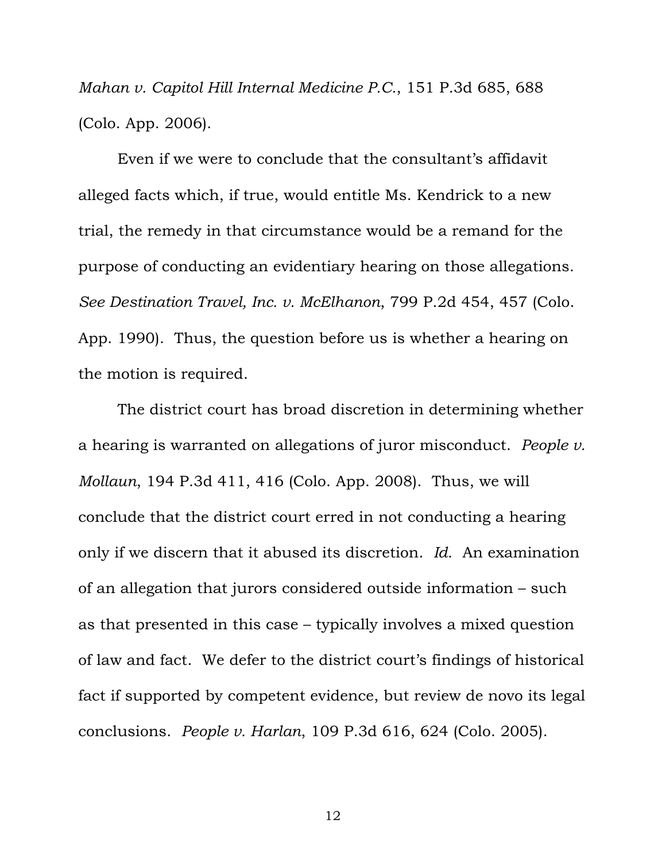*Mahan v. Capitol Hill Internal Medicine P.C.*, 151 P.3d 685, 688 (Colo. App. 2006).

Even if we were to conclude that the consultant's affidavit alleged facts which, if true, would entitle Ms. Kendrick to a new trial, the remedy in that circumstance would be a remand for the purpose of conducting an evidentiary hearing on those allegations. *See Destination Travel, Inc. v. McElhanon*, 799 P.2d 454, 457 (Colo. App. 1990). Thus, the question before us is whether a hearing on the motion is required.

The district court has broad discretion in determining whether a hearing is warranted on allegations of juror misconduct. *People v. Mollaun*, 194 P.3d 411, 416 (Colo. App. 2008). Thus, we will conclude that the district court erred in not conducting a hearing only if we discern that it abused its discretion. *Id*. An examination of an allegation that jurors considered outside information – such as that presented in this case – typically involves a mixed question of law and fact. We defer to the district court's findings of historical fact if supported by competent evidence, but review de novo its legal conclusions. *People v. Harlan*, 109 P.3d 616, 624 (Colo. 2005).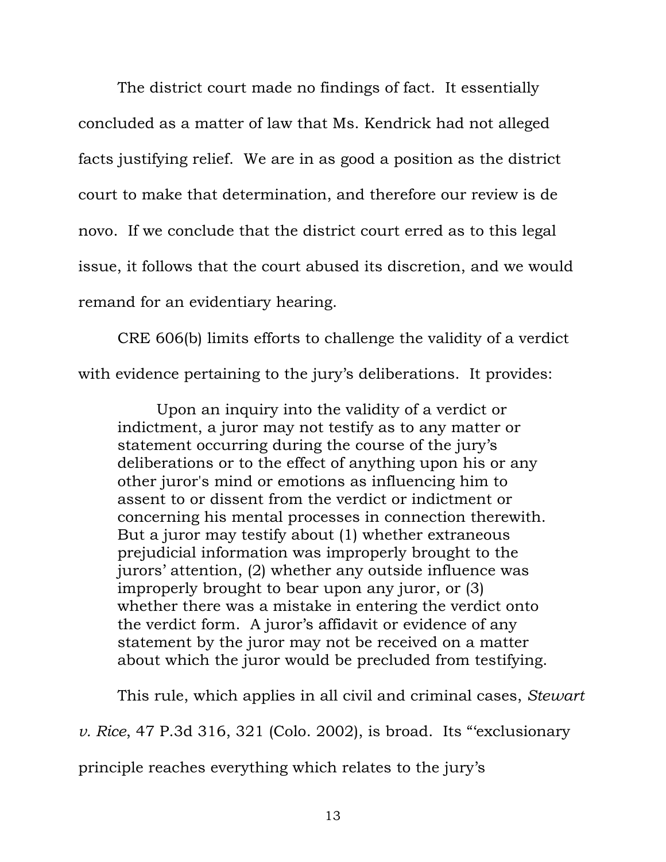The district court made no findings of fact. It essentially concluded as a matter of law that Ms. Kendrick had not alleged facts justifying relief. We are in as good a position as the district court to make that determination, and therefore our review is de novo. If we conclude that the district court erred as to this legal issue, it follows that the court abused its discretion, and we would remand for an evidentiary hearing.

CRE 606(b) limits efforts to challenge the validity of a verdict with evidence pertaining to the jury's deliberations. It provides:

Upon an inquiry into the validity of a verdict or indictment, a juror may not testify as to any matter or statement occurring during the course of the jury's deliberations or to the effect of anything upon his or any other juror's mind or emotions as influencing him to assent to or dissent from the verdict or indictment or concerning his mental processes in connection therewith. But a juror may testify about (1) whether extraneous prejudicial information was improperly brought to the jurors' attention, (2) whether any outside influence was improperly brought to bear upon any juror, or (3) whether there was a mistake in entering the verdict onto the verdict form. A juror's affidavit or evidence of any statement by the juror may not be received on a matter about which the juror would be precluded from testifying.

This rule, which applies in all civil and criminal cases, *Stewart* 

*v. Rice*, 47 P.3d 316, 321 (Colo. 2002), is broad. Its "'exclusionary

principle reaches everything which relates to the jury's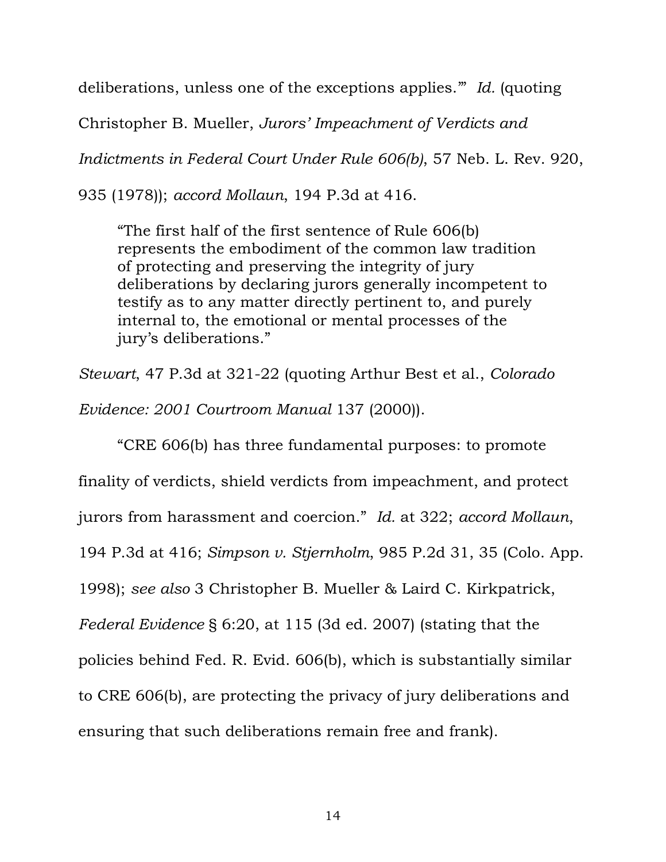deliberations, unless one of the exceptions applies.'" *Id.* (quoting

Christopher B. Mueller, *Jurors' Impeachment of Verdicts and* 

*Indictments in Federal Court Under Rule 606(b)*, 57 Neb. L. Rev. 920,

935 (1978)); *accord Mollaun*, 194 P.3d at 416.

"The first half of the first sentence of Rule 606(b) represents the embodiment of the common law tradition of protecting and preserving the integrity of jury deliberations by declaring jurors generally incompetent to testify as to any matter directly pertinent to, and purely internal to, the emotional or mental processes of the jury's deliberations."

*Stewart*, 47 P.3d at 321-22 (quoting Arthur Best et al., *Colorado Evidence: 2001 Courtroom Manual* 137 (2000)).

"CRE 606(b) has three fundamental purposes: to promote finality of verdicts, shield verdicts from impeachment, and protect jurors from harassment and coercion." *Id.* at 322; *accord Mollaun*, 194 P.3d at 416; *Simpson v. Stjernholm*, 985 P.2d 31, 35 (Colo. App. 1998); *see also* 3 Christopher B. Mueller & Laird C. Kirkpatrick, *Federal Evidence* § 6:20, at 115 (3d ed. 2007) (stating that the policies behind Fed. R. Evid. 606(b), which is substantially similar to CRE 606(b), are protecting the privacy of jury deliberations and ensuring that such deliberations remain free and frank).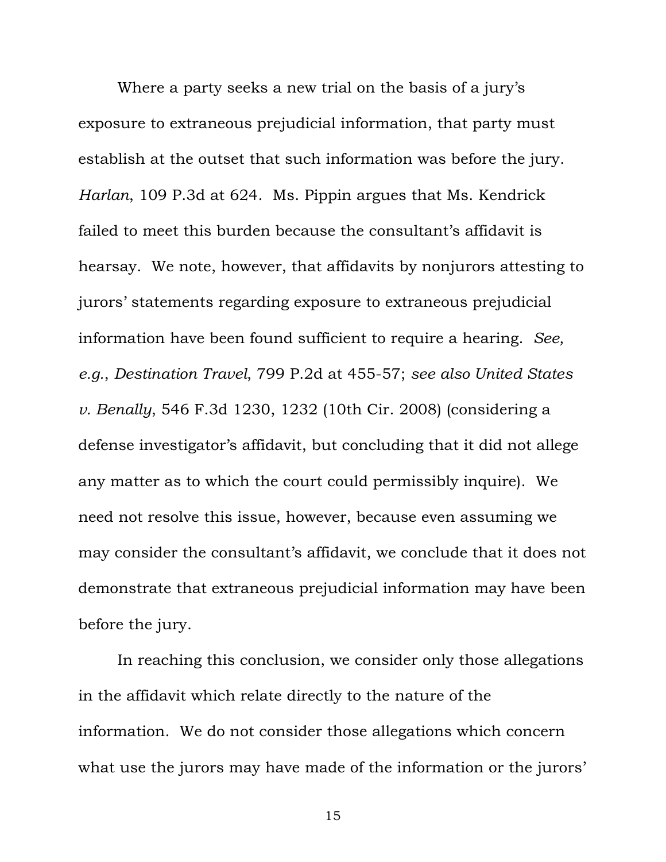Where a party seeks a new trial on the basis of a jury's exposure to extraneous prejudicial information, that party must establish at the outset that such information was before the jury. *Harlan*, 109 P.3d at 624. Ms. Pippin argues that Ms. Kendrick failed to meet this burden because the consultant's affidavit is hearsay. We note, however, that affidavits by nonjurors attesting to jurors' statements regarding exposure to extraneous prejudicial information have been found sufficient to require a hearing. *See, e.g.*, *Destination Travel*, 799 P.2d at 455-57; *see also United States v. Benally*, 546 F.3d 1230, 1232 (10th Cir. 2008) (considering a defense investigator's affidavit, but concluding that it did not allege any matter as to which the court could permissibly inquire). We need not resolve this issue, however, because even assuming we may consider the consultant's affidavit, we conclude that it does not demonstrate that extraneous prejudicial information may have been before the jury.

In reaching this conclusion, we consider only those allegations in the affidavit which relate directly to the nature of the information. We do not consider those allegations which concern what use the jurors may have made of the information or the jurors'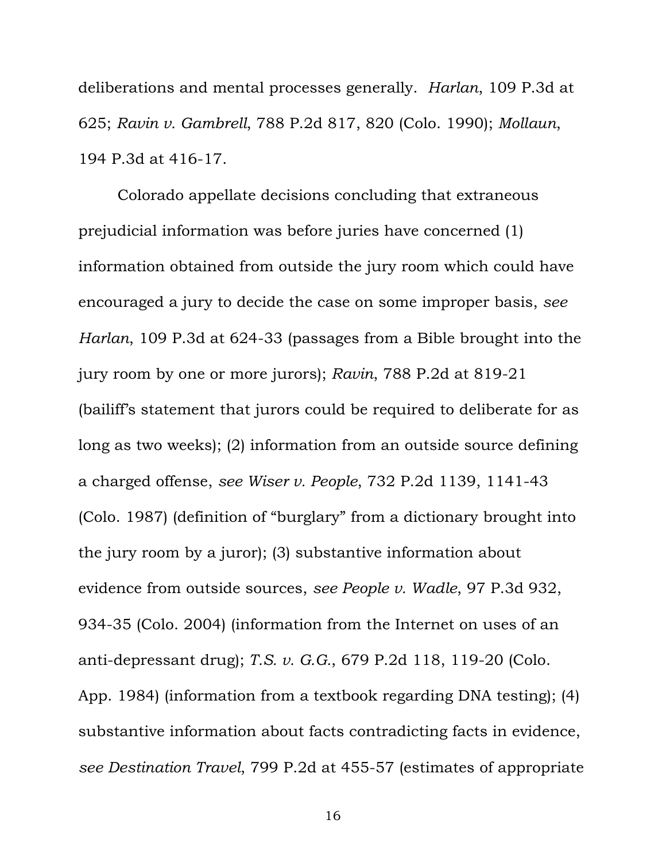deliberations and mental processes generally. *Harlan*, 109 P.3d at 625; *Ravin v. Gambrell*, 788 P.2d 817, 820 (Colo. 1990); *Mollaun*, 194 P.3d at 416-17.

Colorado appellate decisions concluding that extraneous prejudicial information was before juries have concerned (1) information obtained from outside the jury room which could have encouraged a jury to decide the case on some improper basis, *see Harlan*, 109 P.3d at 624-33 (passages from a Bible brought into the jury room by one or more jurors); *Ravin*, 788 P.2d at 819-21 (bailiff's statement that jurors could be required to deliberate for as long as two weeks); (2) information from an outside source defining a charged offense, *see Wiser v. People*, 732 P.2d 1139, 1141-43 (Colo. 1987) (definition of "burglary" from a dictionary brought into the jury room by a juror); (3) substantive information about evidence from outside sources, *see People v. Wadle*, 97 P.3d 932, 934-35 (Colo. 2004) (information from the Internet on uses of an anti-depressant drug); *T.S. v. G.G.*, 679 P.2d 118, 119-20 (Colo. App. 1984) (information from a textbook regarding DNA testing); (4) substantive information about facts contradicting facts in evidence, *see Destination Travel*, 799 P.2d at 455-57 (estimates of appropriate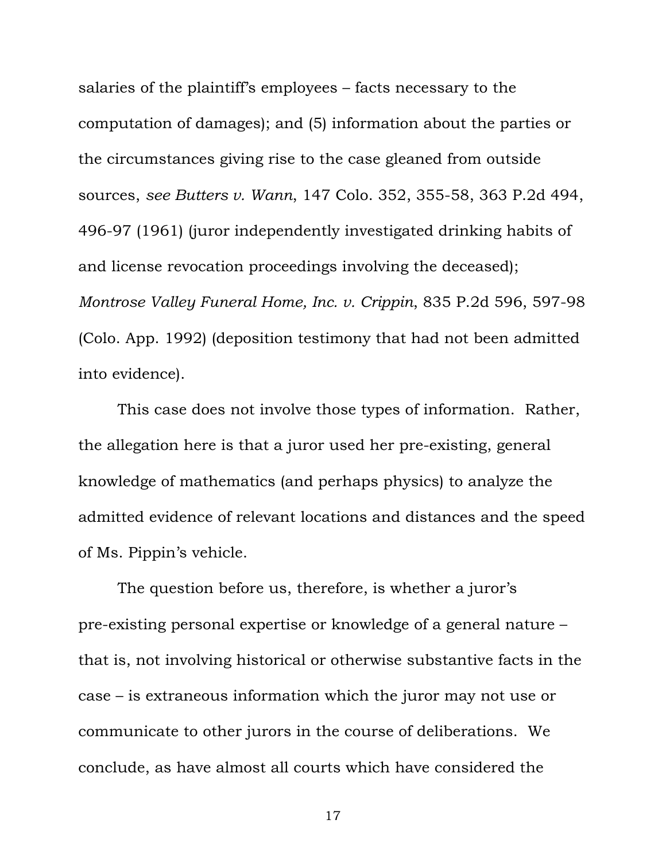salaries of the plaintiff's employees – facts necessary to the computation of damages); and (5) information about the parties or the circumstances giving rise to the case gleaned from outside sources, *see Butters v. Wann*, 147 Colo. 352, 355-58, 363 P.2d 494, 496-97 (1961) (juror independently investigated drinking habits of and license revocation proceedings involving the deceased); *Montrose Valley Funeral Home, Inc. v. Crippin*, 835 P.2d 596, 597-98 (Colo. App. 1992) (deposition testimony that had not been admitted into evidence).

This case does not involve those types of information. Rather, the allegation here is that a juror used her pre-existing, general knowledge of mathematics (and perhaps physics) to analyze the admitted evidence of relevant locations and distances and the speed of Ms. Pippin's vehicle.

The question before us, therefore, is whether a juror's pre-existing personal expertise or knowledge of a general nature – that is, not involving historical or otherwise substantive facts in the case – is extraneous information which the juror may not use or communicate to other jurors in the course of deliberations. We conclude, as have almost all courts which have considered the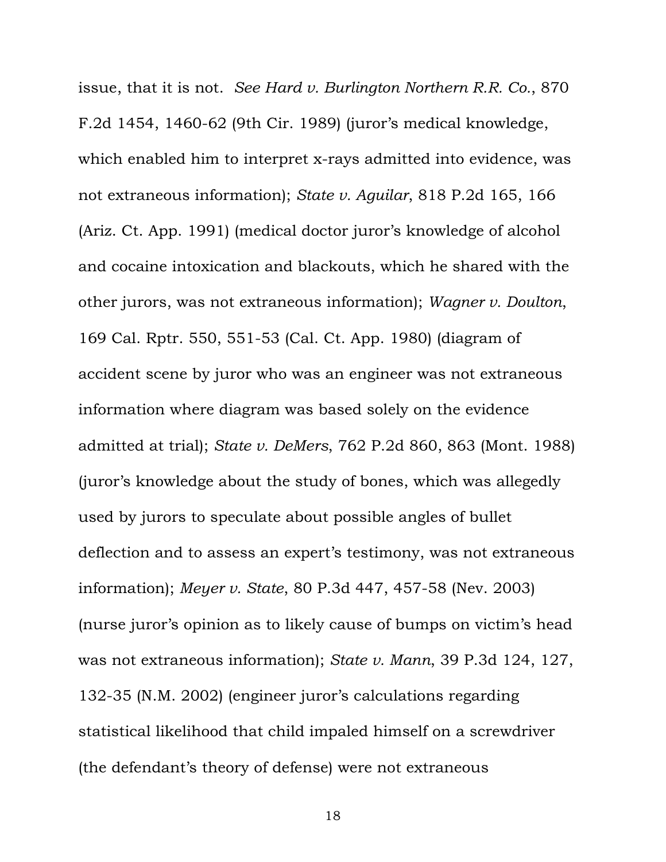issue, that it is not. *See Hard v. Burlington Northern R.R. Co.*, 870 F.2d 1454, 1460-62 (9th Cir. 1989) (juror's medical knowledge, which enabled him to interpret x-rays admitted into evidence, was not extraneous information); *State v. Aguilar*, 818 P.2d 165, 166 (Ariz. Ct. App. 1991) (medical doctor juror's knowledge of alcohol and cocaine intoxication and blackouts, which he shared with the other jurors, was not extraneous information); *Wagner v. Doulton*, 169 Cal. Rptr. 550, 551-53 (Cal. Ct. App. 1980) (diagram of accident scene by juror who was an engineer was not extraneous information where diagram was based solely on the evidence admitted at trial); *State v. DeMers*, 762 P.2d 860, 863 (Mont. 1988) (juror's knowledge about the study of bones, which was allegedly used by jurors to speculate about possible angles of bullet deflection and to assess an expert's testimony, was not extraneous information); *Meyer v. State*, 80 P.3d 447, 457-58 (Nev. 2003) (nurse juror's opinion as to likely cause of bumps on victim's head was not extraneous information); *State v. Mann*, 39 P.3d 124, 127, 132-35 (N.M. 2002) (engineer juror's calculations regarding statistical likelihood that child impaled himself on a screwdriver (the defendant's theory of defense) were not extraneous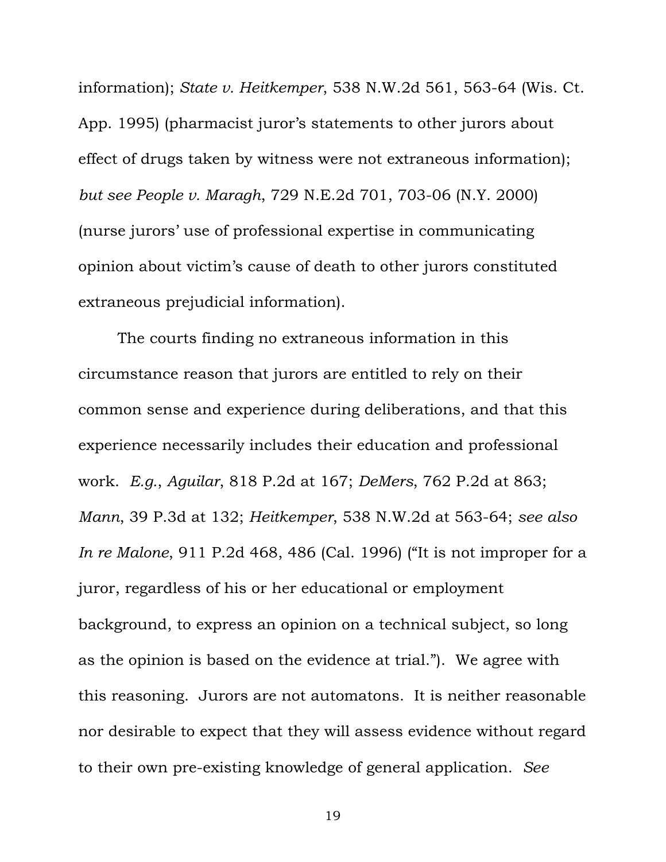information); *State v. Heitkemper*, 538 N.W.2d 561, 563-64 (Wis. Ct. App. 1995) (pharmacist juror's statements to other jurors about effect of drugs taken by witness were not extraneous information); *but see People v. Maragh*, 729 N.E.2d 701, 703-06 (N.Y. 2000) (nurse jurors' use of professional expertise in communicating opinion about victim's cause of death to other jurors constituted extraneous prejudicial information).

The courts finding no extraneous information in this circumstance reason that jurors are entitled to rely on their common sense and experience during deliberations, and that this experience necessarily includes their education and professional work. *E.g.*, *Aguilar*, 818 P.2d at 167; *DeMers*, 762 P.2d at 863; *Mann*, 39 P.3d at 132; *Heitkemper*, 538 N.W.2d at 563-64; *see also In re Malone*, 911 P.2d 468, 486 (Cal. 1996) ("It is not improper for a juror, regardless of his or her educational or employment background, to express an opinion on a technical subject, so long as the opinion is based on the evidence at trial."). We agree with this reasoning. Jurors are not automatons. It is neither reasonable nor desirable to expect that they will assess evidence without regard to their own pre-existing knowledge of general application. *See*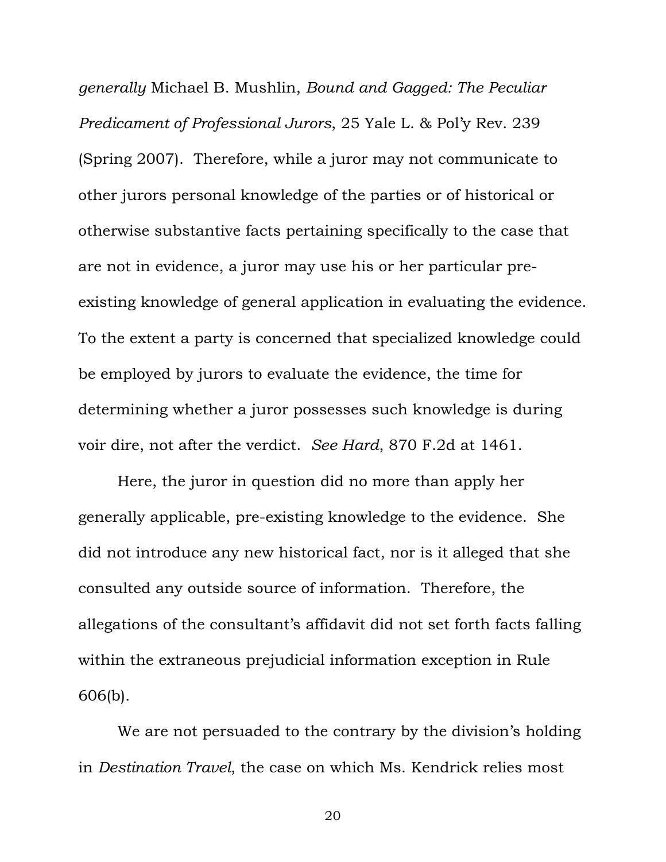*generally* Michael B. Mushlin, *Bound and Gagged: The Peculiar Predicament of Professional Jurors*, 25 Yale L. & Pol'y Rev. 239 (Spring 2007). Therefore, while a juror may not communicate to other jurors personal knowledge of the parties or of historical or otherwise substantive facts pertaining specifically to the case that are not in evidence, a juror may use his or her particular preexisting knowledge of general application in evaluating the evidence. To the extent a party is concerned that specialized knowledge could be employed by jurors to evaluate the evidence, the time for determining whether a juror possesses such knowledge is during voir dire, not after the verdict. *See Hard*, 870 F.2d at 1461.

Here, the juror in question did no more than apply her generally applicable, pre-existing knowledge to the evidence. She did not introduce any new historical fact, nor is it alleged that she consulted any outside source of information. Therefore, the allegations of the consultant's affidavit did not set forth facts falling within the extraneous prejudicial information exception in Rule 606(b).

We are not persuaded to the contrary by the division's holding in *Destination Travel*, the case on which Ms. Kendrick relies most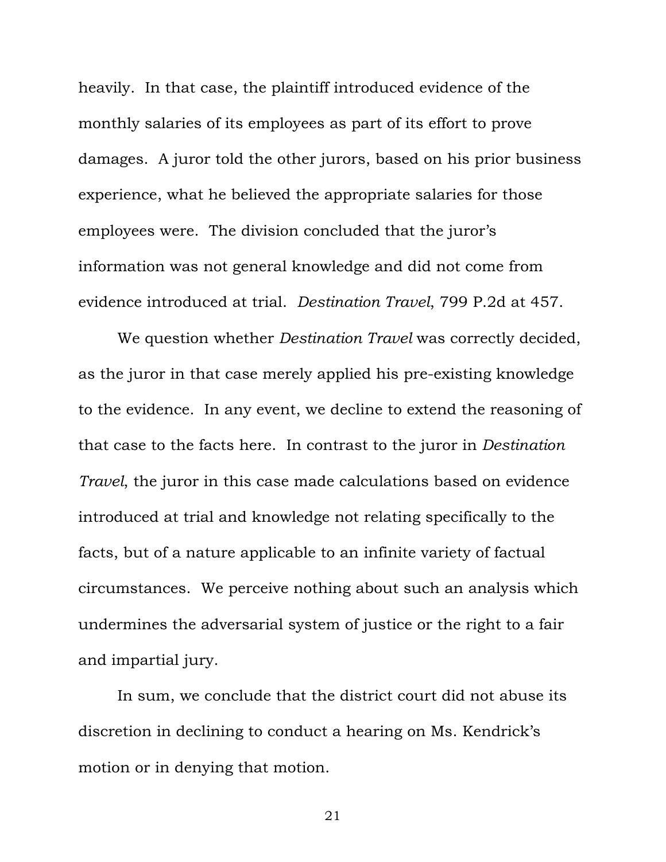heavily. In that case, the plaintiff introduced evidence of the monthly salaries of its employees as part of its effort to prove damages. A juror told the other jurors, based on his prior business experience, what he believed the appropriate salaries for those employees were. The division concluded that the juror's information was not general knowledge and did not come from evidence introduced at trial. *Destination Travel*, 799 P.2d at 457.

We question whether *Destination Travel* was correctly decided, as the juror in that case merely applied his pre-existing knowledge to the evidence. In any event, we decline to extend the reasoning of that case to the facts here. In contrast to the juror in *Destination Travel*, the juror in this case made calculations based on evidence introduced at trial and knowledge not relating specifically to the facts, but of a nature applicable to an infinite variety of factual circumstances. We perceive nothing about such an analysis which undermines the adversarial system of justice or the right to a fair and impartial jury.

In sum, we conclude that the district court did not abuse its discretion in declining to conduct a hearing on Ms. Kendrick's motion or in denying that motion.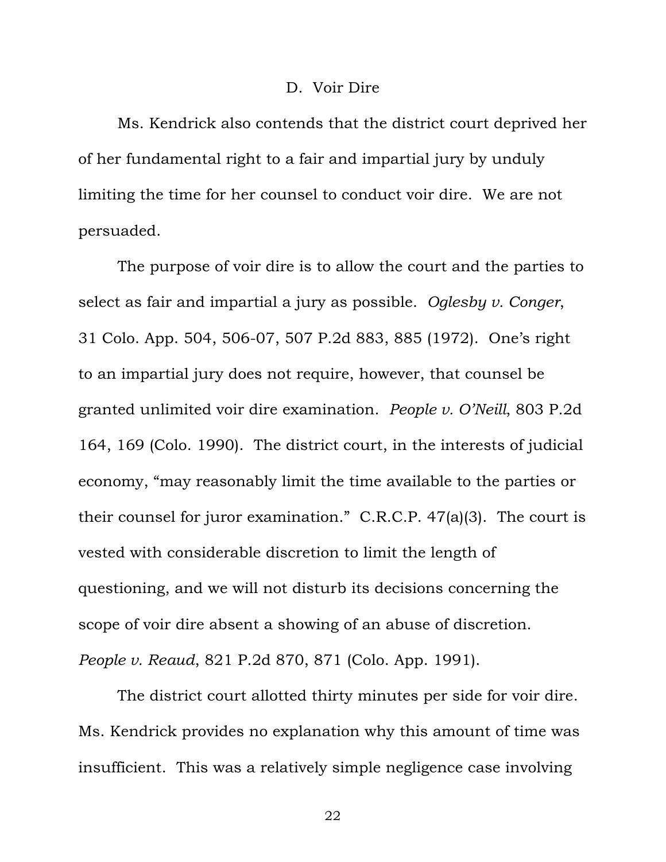#### D. Voir Dire

Ms. Kendrick also contends that the district court deprived her of her fundamental right to a fair and impartial jury by unduly limiting the time for her counsel to conduct voir dire. We are not persuaded.

The purpose of voir dire is to allow the court and the parties to select as fair and impartial a jury as possible. *Oglesby v. Conger*, 31 Colo. App. 504, 506-07, 507 P.2d 883, 885 (1972). One's right to an impartial jury does not require, however, that counsel be granted unlimited voir dire examination. *People v. O'Neill*, 803 P.2d 164, 169 (Colo. 1990). The district court, in the interests of judicial economy, "may reasonably limit the time available to the parties or their counsel for juror examination." C.R.C.P. 47(a)(3). The court is vested with considerable discretion to limit the length of questioning, and we will not disturb its decisions concerning the scope of voir dire absent a showing of an abuse of discretion. *People v. Reaud*, 821 P.2d 870, 871 (Colo. App. 1991).

The district court allotted thirty minutes per side for voir dire. Ms. Kendrick provides no explanation why this amount of time was insufficient. This was a relatively simple negligence case involving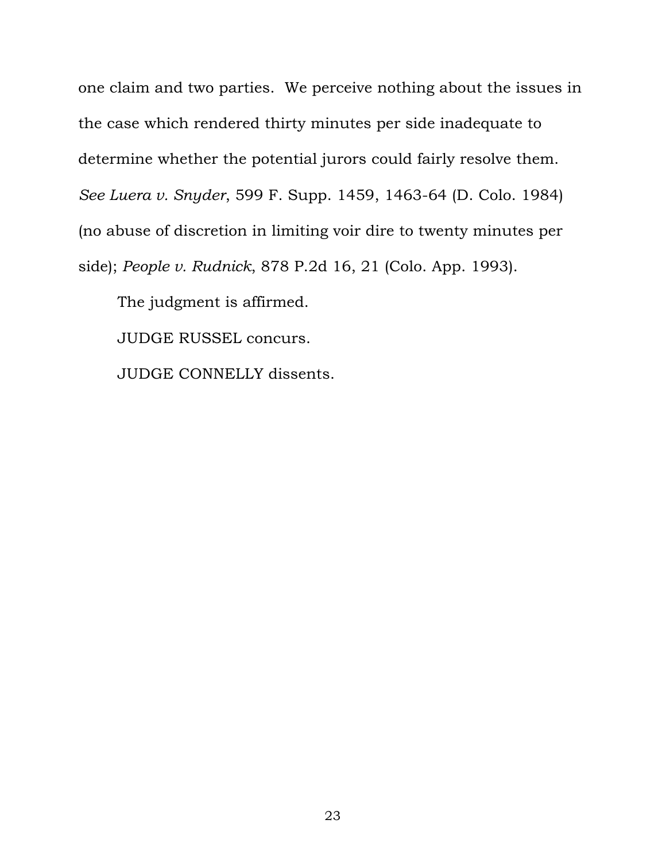one claim and two parties. We perceive nothing about the issues in the case which rendered thirty minutes per side inadequate to determine whether the potential jurors could fairly resolve them. *See Luera v. Snyder*, 599 F. Supp. 1459, 1463-64 (D. Colo. 1984) (no abuse of discretion in limiting voir dire to twenty minutes per side); *People v. Rudnick*, 878 P.2d 16, 21 (Colo. App. 1993).

The judgment is affirmed.

JUDGE RUSSEL concurs.

JUDGE CONNELLY dissents.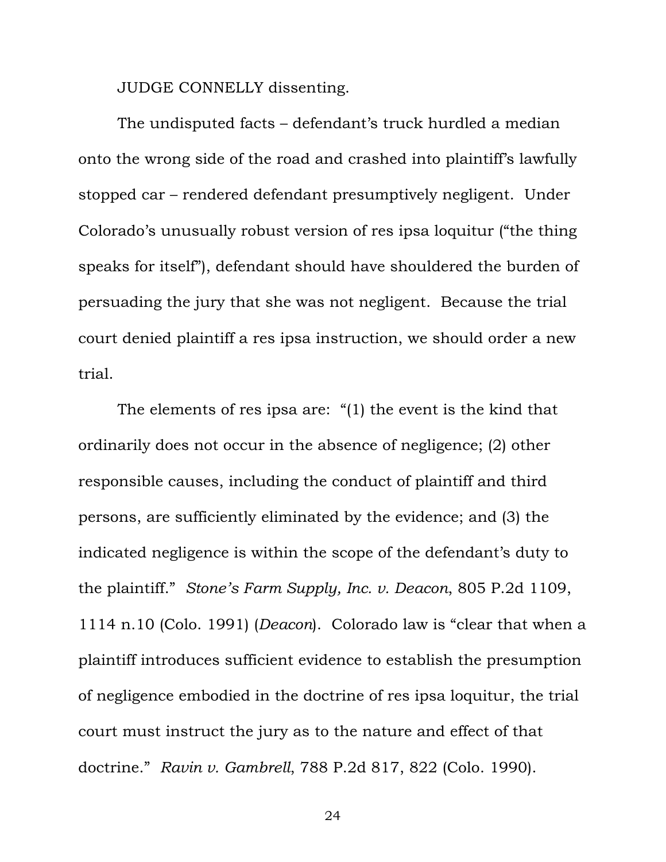JUDGE CONNELLY dissenting.

The undisputed facts – defendant's truck hurdled a median onto the wrong side of the road and crashed into plaintiff's lawfully stopped car – rendered defendant presumptively negligent. Under Colorado's unusually robust version of res ipsa loquitur ("the thing speaks for itself"), defendant should have shouldered the burden of persuading the jury that she was not negligent. Because the trial court denied plaintiff a res ipsa instruction, we should order a new trial.

The elements of res ipsa are: "(1) the event is the kind that ordinarily does not occur in the absence of negligence; (2) other responsible causes, including the conduct of plaintiff and third persons, are sufficiently eliminated by the evidence; and (3) the indicated negligence is within the scope of the defendant's duty to the plaintiff." *Stone's Farm Supply, Inc. v. Deacon*, 805 P.2d 1109, 1114 n.10 (Colo. 1991) (*Deacon*). Colorado law is "clear that when a plaintiff introduces sufficient evidence to establish the presumption of negligence embodied in the doctrine of res ipsa loquitur, the trial court must instruct the jury as to the nature and effect of that doctrine." *Ravin v. Gambrell*, 788 P.2d 817, 822 (Colo. 1990).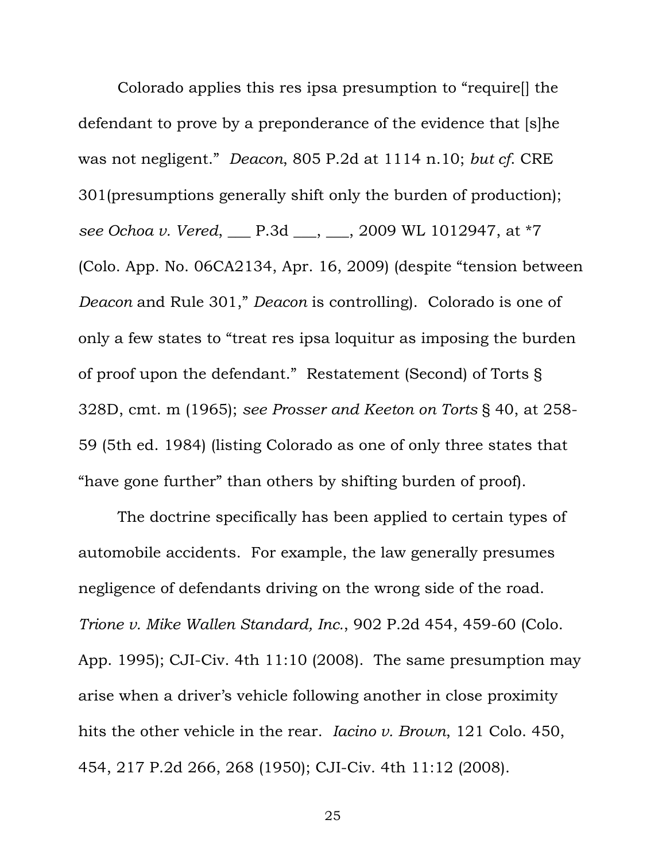Colorado applies this res ipsa presumption to "require[] the defendant to prove by a preponderance of the evidence that [s]he was not negligent." *Deacon*, 805 P.2d at 1114 n.10; *but cf*. CRE 301(presumptions generally shift only the burden of production); *see Ochoa v. Vered*, \_\_\_ P.3d \_\_\_, \_\_\_, 2009 WL 1012947, at \*7 (Colo. App. No. 06CA2134, Apr. 16, 2009) (despite "tension between *Deacon* and Rule 301," *Deacon* is controlling). Colorado is one of only a few states to "treat res ipsa loquitur as imposing the burden of proof upon the defendant." Restatement (Second) of Torts § 328D, cmt. m (1965); *see Prosser and Keeton on Torts* § 40, at 258- 59 (5th ed. 1984) (listing Colorado as one of only three states that "have gone further" than others by shifting burden of proof).

The doctrine specifically has been applied to certain types of automobile accidents. For example, the law generally presumes negligence of defendants driving on the wrong side of the road. *Trione v. Mike Wallen Standard, Inc.*, 902 P.2d 454, 459-60 (Colo. App. 1995); CJI-Civ. 4th 11:10 (2008). The same presumption may arise when a driver's vehicle following another in close proximity hits the other vehicle in the rear. *Iacino v. Brown*, 121 Colo. 450, 454, 217 P.2d 266, 268 (1950); CJI-Civ. 4th 11:12 (2008).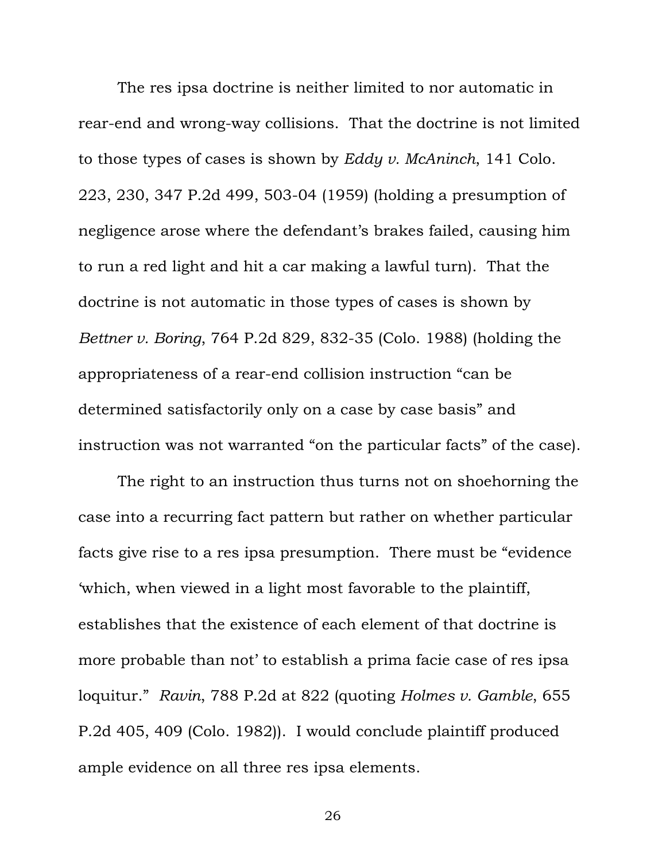The res ipsa doctrine is neither limited to nor automatic in rear-end and wrong-way collisions. That the doctrine is not limited to those types of cases is shown by *Eddy v. McAninch*, 141 Colo. 223, 230, 347 P.2d 499, 503-04 (1959) (holding a presumption of negligence arose where the defendant's brakes failed, causing him to run a red light and hit a car making a lawful turn). That the doctrine is not automatic in those types of cases is shown by *Bettner v. Boring*, 764 P.2d 829, 832-35 (Colo. 1988) (holding the appropriateness of a rear-end collision instruction "can be determined satisfactorily only on a case by case basis" and instruction was not warranted "on the particular facts" of the case).

The right to an instruction thus turns not on shoehorning the case into a recurring fact pattern but rather on whether particular facts give rise to a res ipsa presumption. There must be "evidence 'which, when viewed in a light most favorable to the plaintiff, establishes that the existence of each element of that doctrine is more probable than not' to establish a prima facie case of res ipsa loquitur." *Ravin*, 788 P.2d at 822 (quoting *Holmes v. Gamble*, 655 P.2d 405, 409 (Colo. 1982)). I would conclude plaintiff produced ample evidence on all three res ipsa elements.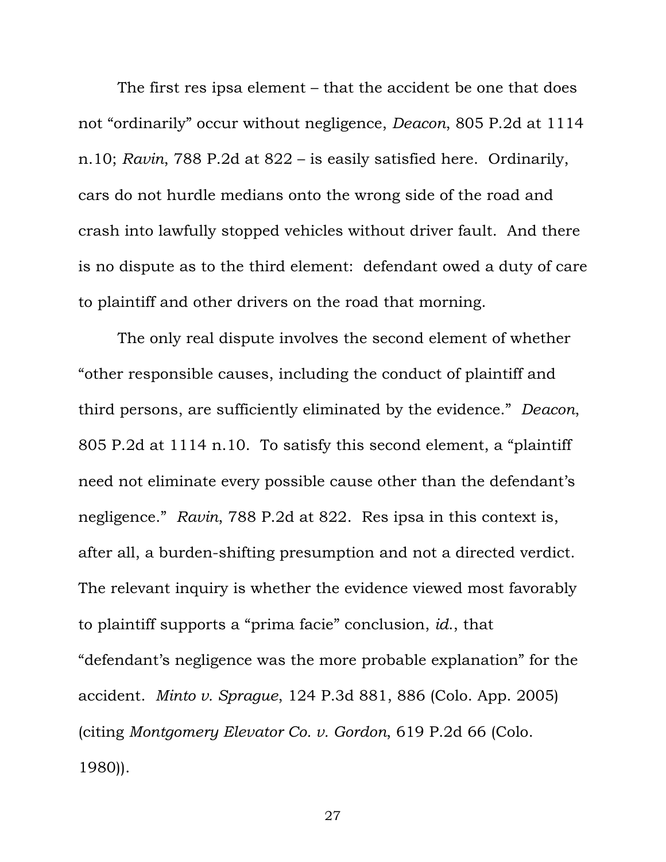The first res ipsa element – that the accident be one that does not "ordinarily" occur without negligence, *Deacon*, 805 P.2d at 1114 n.10; *Ravin*, 788 P.2d at 822 – is easily satisfied here. Ordinarily, cars do not hurdle medians onto the wrong side of the road and crash into lawfully stopped vehicles without driver fault. And there is no dispute as to the third element: defendant owed a duty of care to plaintiff and other drivers on the road that morning.

The only real dispute involves the second element of whether "other responsible causes, including the conduct of plaintiff and third persons, are sufficiently eliminated by the evidence." *Deacon*, 805 P.2d at 1114 n.10. To satisfy this second element, a "plaintiff need not eliminate every possible cause other than the defendant's negligence." *Ravin*, 788 P.2d at 822. Res ipsa in this context is, after all, a burden-shifting presumption and not a directed verdict. The relevant inquiry is whether the evidence viewed most favorably to plaintiff supports a "prima facie" conclusion, *id*., that "defendant's negligence was the more probable explanation" for the accident. *Minto v. Sprague*, 124 P.3d 881, 886 (Colo. App. 2005) (citing *Montgomery Elevator Co. v. Gordon*, 619 P.2d 66 (Colo. 1980)).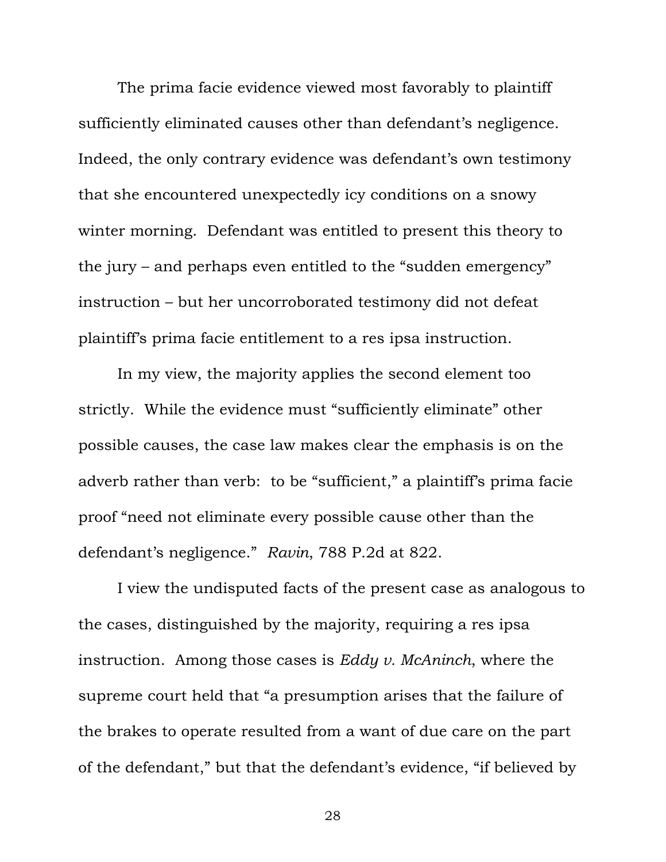The prima facie evidence viewed most favorably to plaintiff sufficiently eliminated causes other than defendant's negligence. Indeed, the only contrary evidence was defendant's own testimony that she encountered unexpectedly icy conditions on a snowy winter morning. Defendant was entitled to present this theory to the jury – and perhaps even entitled to the "sudden emergency" instruction – but her uncorroborated testimony did not defeat plaintiff's prima facie entitlement to a res ipsa instruction.

In my view, the majority applies the second element too strictly. While the evidence must "sufficiently eliminate" other possible causes, the case law makes clear the emphasis is on the adverb rather than verb: to be "sufficient," a plaintiff's prima facie proof "need not eliminate every possible cause other than the defendant's negligence." *Ravin*, 788 P.2d at 822.

I view the undisputed facts of the present case as analogous to the cases, distinguished by the majority, requiring a res ipsa instruction. Among those cases is *Eddy v. McAninch*, where the supreme court held that "a presumption arises that the failure of the brakes to operate resulted from a want of due care on the part of the defendant," but that the defendant's evidence, "if believed by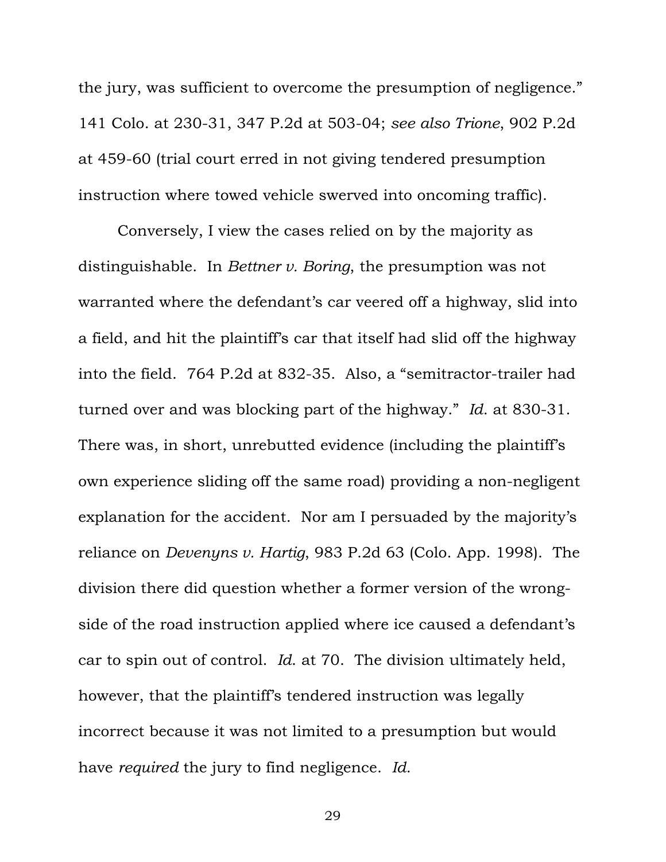the jury, was sufficient to overcome the presumption of negligence." 141 Colo. at 230-31, 347 P.2d at 503-04; *see also Trione*, 902 P.2d at 459-60 (trial court erred in not giving tendered presumption instruction where towed vehicle swerved into oncoming traffic).

Conversely, I view the cases relied on by the majority as distinguishable. In *Bettner v. Boring*, the presumption was not warranted where the defendant's car veered off a highway, slid into a field, and hit the plaintiff's car that itself had slid off the highway into the field. 764 P.2d at 832-35. Also, a "semitractor-trailer had turned over and was blocking part of the highway." *Id*. at 830-31. There was, in short, unrebutted evidence (including the plaintiff's own experience sliding off the same road) providing a non-negligent explanation for the accident. Nor am I persuaded by the majority's reliance on *Devenyns v. Hartig*, 983 P.2d 63 (Colo. App. 1998). The division there did question whether a former version of the wrongside of the road instruction applied where ice caused a defendant's car to spin out of control. *Id*. at 70. The division ultimately held, however, that the plaintiff's tendered instruction was legally incorrect because it was not limited to a presumption but would have *required* the jury to find negligence. *Id*.